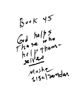$Boek 45$ God helps<br>The se who Mostif Tender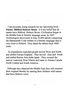I am presently doing research for my upcoming book - Names -Biblical Hebrew Roots. It is my belief that all names have Biblical Hebrew Roots. Civilization began in the Middle East in Semitic language areas. In 1907 Archeologists discovered in Iraq 10,000 tablets comprising the Hammurabi Code written in a Semitic language that is very close to Hebrew. They dated the tablets back 4000 years.

As populations exploded people moved West and North and settled Europe England. They moved East and North and settled Russia Asia India Japan . They crossed the narrow waterway from Siberia and came to Alaska Canada North Central and South America.

Although they departed the Middle East they still retained their original identity by naming their children with names that have Hebrew roots.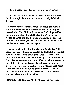I have already decoded many Anglo Saxon names.

Besides the Bible the world owes a debt to the Jews for their Anglo Saxon names that are really Biblical Hebrew.

Unfortunately, Europeans who adopted the Jewish Bible and call it the Old Testament have a history of ingratitude. The Bible is the word of God. It provides the foundation for all social legislation . The Seven Nohadite Laws and the Ten Commandments are the foundation for all legal social systems in the world. It is the Jew who preserved this legacy.

Instead of thanking the Jew the Jew for the last 2000 years has been vilified, persecuted and killed. For the last 2000 years those who benefitted the most were at the forefront of stealing the Jew's identity. The followers of Christianity assumed the name of Israel. All the verses in the Bible referring to Jews as Israel were misinterpreted as referring to those individual who professed that Jesus is the son of God and God part of a Trinity. Anyone, not believing this theology was the anti Christ Satan, worthy to be despised and killed.

However, the devotees of Christ used their crusade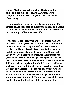against Muslims , as well as, fellow Christians. Thus millions if not billions of fellow Christians were slaughtered in the past 2000 years since the rise of Christianity.

Christianity has been perverted as an opium for the masses. It has been used to brainwash billions and accept tyranny enslavement and corruption with the promise of heaven and paradise in an after life.

The same is true today with those Muslims who are terrorists . Their goal is world domination. All means all murder rape terror are permitted against innocent civilians in Historic Israel- Jerusalem Judea Samaria and the new areas of Jerusalem and Israel built in the last 100 years. Those who perpetrate the murders are glorified as martyrs who will get 70 virgins in the after life. Abbas and Fatah ,as well as, Hamas are the same as ISIS who behead captives that the USA and its allies, as well as, Iraq are fighting. Make no mistake. There does not exist any difference. Today the Arab terrorists kill the Jew and want to destroy Israel. Tomorrow Abbas Fatah Hamas will kill Americans Europeans and will want to conquer the world. They all are part of the same head of the snake. The head of the snake must be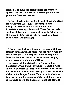crushed. The more one compromises and wants to appease the head of the snake the stronger and more poisonous the snake becomes.

Instead of welcoming the Jew to his historic homeland the Arabs with the complete cooperation of the Europeans have created the myth of the poor Palestinians needing a homeland. There does not exist one Palestinians who possesses a history in Palestine. All of them came from the neighboring Arab countries-Syria Arabia Lebanon Egypt.

This myth is the bastard child of European 2000 year jealousy hatred rape and murder of the Jew. Arabs have become the proxy of Europeans of murdering Jews. Since the demise of the Nazis the Europeans employ Arabs to complete the work of Hitler.

The murder of Jews is incited by Abbas and his Palestinian group Fatah , as well as, Hamas in Gaza and their followers in Judea and Samaria. They preach the big lie that Jews want to destroy AI Aksa the Muslim shrine on the Temple Mount. They incite to a holy war, in order to gain the sympathy of the one billion Muslims in the world to join the crusade of killing the Jew and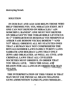destroying Israel.

## **SOLUTION**

IN OUR DAY AND AGE GOD HELPS THOSE WHO HELP THEMSELVES. YES, MIRACLES EXIST. BUT **ONE CAN NOT DEPEND ON MIRACLES." AIN SOMCHIN L HANESS". ONE MUST NOT DEPEND** ON MIRACLES"IN THE TORAH BIBLE LEVITICUS 18:5" USHMARTEM ES HUKOSAI VES MISHPOTAI **ASHER YASE HODOM VECHAI BOHEM " "AND** YOU SHALL OBSERVE ALL MY STATUTES ONES THAT A HUMAN MAY NOT COMPREHEND THE **RITUALS KOSHER LAWS FAMILY PURITY LAWS** SABBATH AND HOLIDAY LAWS THAT ONLY **JEWS ARE OBLIGATED. AS WELL AS. CIVIL AND CRIMINAL LAWS THAT ALL CIVILIZED SOCIETIES MUST OBSERVE. IN ORDER THAT** YOU SHALL LIVE. THUS THE GOAL AND **REASON FOR ALL LAWS IS IN ORDER FOR MAN** TO LIVE.

THE INTERPRETATION OF THIS VERSE IS THAT **MAN MUST USE PHYSICAL MEANS WEAPONS GUNS AMMUNITION TANKS PLANES MISSILES.**